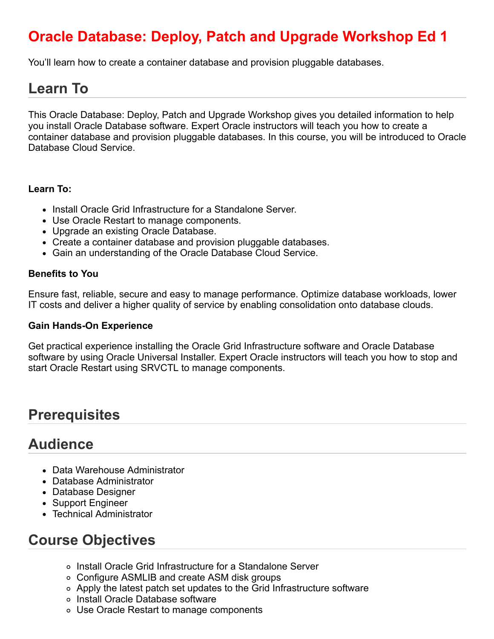# **Oracle Database: Deploy, Patch and Upgrade Workshop Ed 1**

You'll learn how to create a container database and provision pluggable databases.

## **Learn To**

This Oracle Database: Deploy, Patch and Upgrade Workshop gives you detailed information to help you install Oracle Database software. Expert Oracle instructors will teach you how to create a container database and provision pluggable databases. In this course, you will be introduced to Oracle Database Cloud Service.

#### **Learn To:**

- Install Oracle Grid Infrastructure for a Standalone Server.
- Use Oracle Restart to manage components.
- Upgrade an existing Oracle Database.
- Create a container database and provision pluggable databases.
- Gain an understanding of the Oracle Database Cloud Service.

#### **Benefits to You**

Ensure fast, reliable, secure and easy to manage performance. Optimize database workloads, lower IT costs and deliver a higher quality of service by enabling consolidation onto database clouds.

#### **Gain Hands-On Experience**

Get practical experience installing the Oracle Grid Infrastructure software and Oracle Database software by using Oracle Universal Installer. Expert Oracle instructors will teach you how to stop and start Oracle Restart using SRVCTL to manage components.

### **Prerequisites**

### **Audience**

- Data Warehouse Administrator
- Database Administrator
- Database Designer
- Support Engineer
- Technical Administrator

## **Course Objectives**

- Install Oracle Grid Infrastructure for a Standalone Server
- Configure ASMLIB and create ASM disk groups
- Apply the latest patch set updates to the Grid Infrastructure software
- o Install Oracle Database software
- Use Oracle Restart to manage components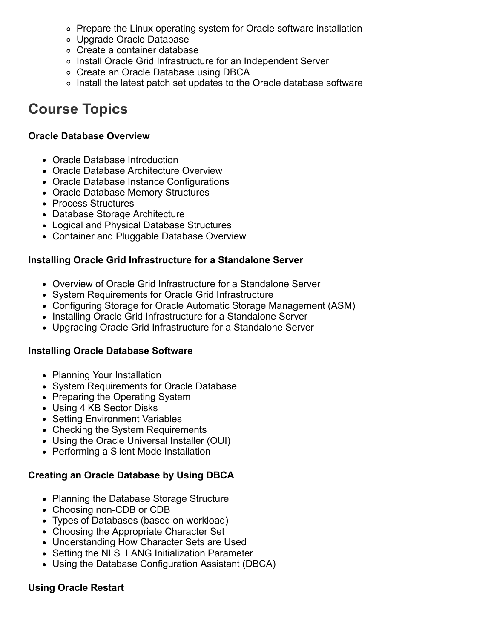- Prepare the Linux operating system for Oracle software installation
- Upgrade Oracle Database
- Create a container database
- Install Oracle Grid Infrastructure for an Independent Server
- Create an Oracle Database using DBCA
- Install the latest patch set updates to the Oracle database software

## **Course Topics**

#### **Oracle Database Overview**

- Oracle Database Introduction
- Oracle Database Architecture Overview
- Oracle Database Instance Configurations
- Oracle Database Memory Structures
- Process Structures
- Database Storage Architecture
- Logical and Physical Database Structures
- Container and Pluggable Database Overview

#### **Installing Oracle Grid Infrastructure for a Standalone Server**

- Overview of Oracle Grid Infrastructure for a Standalone Server
- System Requirements for Oracle Grid Infrastructure
- Configuring Storage for Oracle Automatic Storage Management (ASM)
- Installing Oracle Grid Infrastructure for a Standalone Server
- Upgrading Oracle Grid Infrastructure for a Standalone Server

#### **Installing Oracle Database Software**

- Planning Your Installation
- System Requirements for Oracle Database
- Preparing the Operating System
- Using 4 KB Sector Disks
- Setting Environment Variables
- Checking the System Requirements
- Using the Oracle Universal Installer (OUI)
- Performing a Silent Mode Installation

#### **Creating an Oracle Database by Using DBCA**

- Planning the Database Storage Structure
- Choosing non-CDB or CDB
- Types of Databases (based on workload)
- Choosing the Appropriate Character Set
- Understanding How Character Sets are Used
- Setting the NLS LANG Initialization Parameter
- Using the Database Configuration Assistant (DBCA)

#### **Using Oracle Restart**